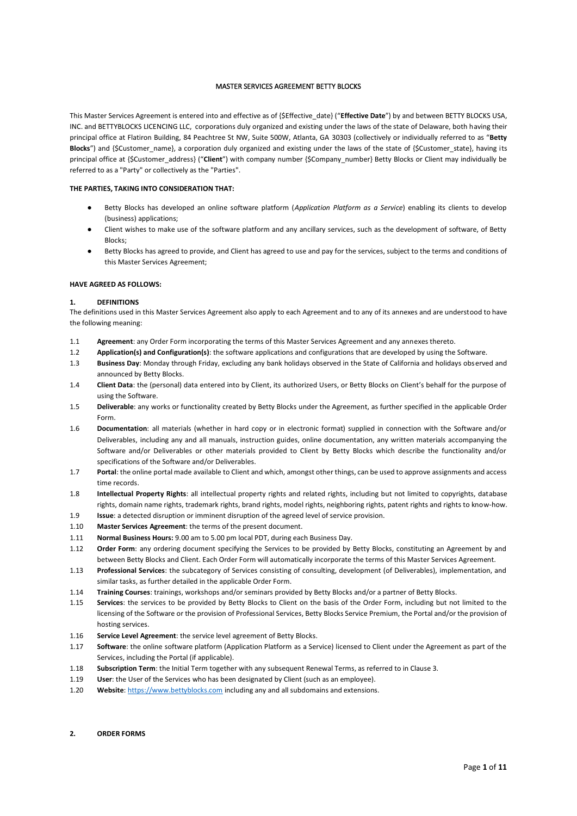#### MASTER SERVICES AGREEMENT BETTY BLOCKS

This Master Services Agreement is entered into and effective as of {\$Effective\_date} ("**Effective Date**") by and between BETTY BLOCKS USA, INC. and BETTYBLOCKS LICENCING LLC, corporations duly organized and existing under the laws of the state of Delaware, both having their principal office at Flatiron Building, 84 Peachtree St NW, Suite 500W, Atlanta, GA 30303 (collectively or individually referred to as "**Betty Blocks**") and {\$Customer\_name}, a corporation duly organized and existing under the laws of the state of {\$Customer\_state}, having its principal office at {\$Customer\_address} ("**Client**") with company number {\$Company\_number} Betty Blocks or Client may individually be referred to as a "Party" or collectively as the "Parties".

#### **THE PARTIES, TAKING INTO CONSIDERATION THAT:**

- Betty Blocks has developed an online software platform (*Application Platform as a Service*) enabling its clients to develop (business) applications;
- Client wishes to make use of the software platform and any ancillary services, such as the development of software, of Betty Blocks;
- Betty Blocks has agreed to provide, and Client has agreed to use and pay for the services, subject to the terms and conditions of this Master Services Agreement;

#### **HAVE AGREED AS FOLLOWS:**

#### **1. DEFINITIONS**

The definitions used in this Master Services Agreement also apply to each Agreement and to any of its annexes and are understood to have the following meaning:

- 1.1 **Agreement**: any Order Form incorporating the terms of this Master Services Agreement and any annexes thereto.
- 1.2 **Application(s) and Configuration(s)**: the software applications and configurations that are developed by using the Software.
- 1.3 **Business Day**: Monday through Friday, excluding any bank holidays observed in the State of California and holidays observed and announced by Betty Blocks.
- 1.4 **Client Data**: the (personal) data entered into by Client, its authorized Users, or Betty Blocks on Client's behalf for the purpose of using the Software.
- 1.5 **Deliverable**: any works or functionality created by Betty Blocks under the Agreement, as further specified in the applicable Order Form.
- 1.6 **Documentation**: all materials (whether in hard copy or in electronic format) supplied in connection with the Software and/or Deliverables, including any and all manuals, instruction guides, online documentation, any written materials accompanying the Software and/or Deliverables or other materials provided to Client by Betty Blocks which describe the functionality and/or specifications of the Software and/or Deliverables.
- 1.7 **Portal**: the online portal made available to Client and which, amongst other things, can be used to approve assignments and access time records.
- 1.8 **Intellectual Property Rights**: all intellectual property rights and related rights, including but not limited to copyrights, database rights, domain name rights, trademark rights, brand rights, model rights, neighboring rights, patent rights and rights to know-how.
- 1.9 **Issue**: a detected disruption or imminent disruption of the agreed level of service provision.
- 1.10 **Master Services Agreement**: the terms of the present document.
- 1.11 **Normal Business Hours:** 9.00 am to 5.00 pm local PDT, during each Business Day.
- 1.12 **Order Form**: any ordering document specifying the Services to be provided by Betty Blocks, constituting an Agreement by and between Betty Blocks and Client. Each Order Form will automatically incorporate the terms of this Master Services Agreement.
- 1.13 **Professional Services**: the subcategory of Services consisting of consulting, development (of Deliverables), implementation, and similar tasks, as further detailed in the applicable Order Form.
- 1.14 **Training Courses**: trainings, workshops and/or seminars provided by Betty Blocks and/or a partner of Betty Blocks.
- 1.15 **Services**: the services to be provided by Betty Blocks to Client on the basis of the Order Form, including but not limited to the licensing of the Software or the provision of Professional Services, Betty Blocks Service Premium, the Portal and/or the provision of hosting services.
- 1.16 **Service Level Agreement**: the service level agreement of Betty Blocks.
- 1.17 **Software**: the online software platform (Application Platform as a Service) licensed to Client under the Agreement as part of the Services, including the Portal (if applicable).
- 1.18 **Subscription Term**: the Initial Term together with any subsequent Renewal Terms, as referred to in Clause 3.
- 1.19 **User**: the User of the Services who has been designated by Client (such as an employee).
- 1.20 **Website**: [https://www.bettyblocks.com](https://www.bettyblocks.com/) including any and all subdomains and extensions.

#### **2. ORDER FORMS**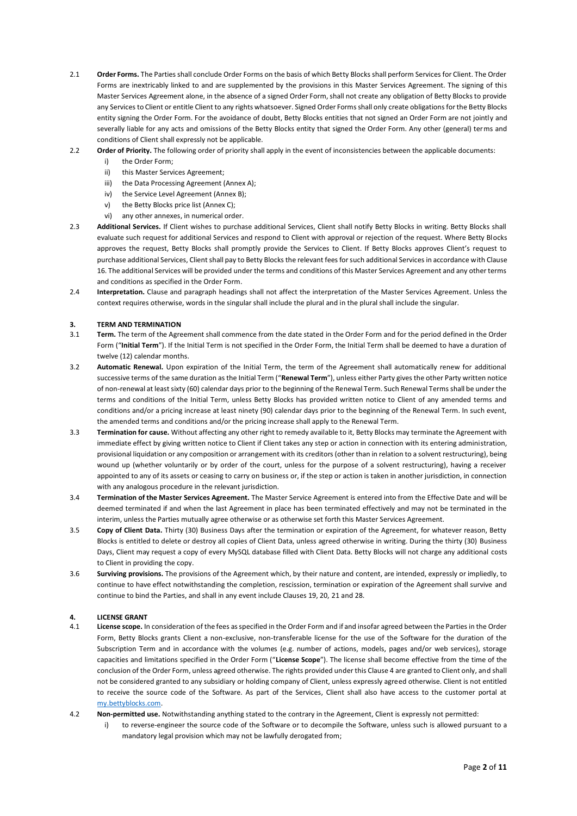- 2.1 **Order Forms.** The Parties shall conclude Order Forms on the basis of which Betty Blocks shall perform Services for Client. The Order Forms are inextricably linked to and are supplemented by the provisions in this Master Services Agreement. The signing of this Master Services Agreement alone, in the absence of a signed Order Form, shall not create any obligation of Betty Blocks to provide any Services to Client or entitle Client to any rights whatsoever. Signed Order Forms shall only create obligations for the Betty Blocks entity signing the Order Form. For the avoidance of doubt, Betty Blocks entities that not signed an Order Form are not jointly and severally liable for any acts and omissions of the Betty Blocks entity that signed the Order Form. Any other (general) terms and conditions of Client shall expressly not be applicable.
- 2.2 **Order of Priority.** The following order of priority shall apply in the event of inconsistencies between the applicable documents:
	- i) the Order Form;
	- ii) this Master Services Agreement;
	- iii) the Data Processing Agreement (Annex A);
	- iv) the Service Level Agreement (Annex B);
	- v) the Betty Blocks price list (Annex C);
	- vi) any other annexes, in numerical order.
- 2.3 **Additional Services.** If Client wishes to purchase additional Services, Client shall notify Betty Blocks in writing. Betty Blocks shall evaluate such request for additional Services and respond to Client with approval or rejection of the request. Where Betty Blocks approves the request, Betty Blocks shall promptly provide the Services to Client. If Betty Blocks approves Client's request to purchase additional Services, Client shall pay to Betty Blocks the relevant fees for such additional Services in accordance with Clause 16. The additional Services will be provided under the terms and conditions of this Master Services Agreement and any other terms and conditions as specified in the Order Form.
- 2.4 **Interpretation.** Clause and paragraph headings shall not affect the interpretation of the Master Services Agreement. Unless the context requires otherwise, words in the singular shall include the plural and in the plural shall include the singular.

#### **3. TERM AND TERMINATION**

- 3.1 **Term.** The term of the Agreement shall commence from the date stated in the Order Form and for the period defined in the Order Form ("**Initial Term**"). If the Initial Term is not specified in the Order Form, the Initial Term shall be deemed to have a duration of twelve (12) calendar months.
- 3.2 **Automatic Renewal.** Upon expiration of the Initial Term, the term of the Agreement shall automatically renew for additional successive terms of the same duration as the Initial Term ("**Renewal Term**"), unless either Party gives the other Party written notice of non-renewal at least sixty (60) calendar days prior to the beginning of the Renewal Term. Such Renewal Terms shall be under the terms and conditions of the Initial Term, unless Betty Blocks has provided written notice to Client of any amended terms and conditions and/or a pricing increase at least ninety (90) calendar days prior to the beginning of the Renewal Term. In such event, the amended terms and conditions and/or the pricing increase shall apply to the Renewal Term.
- 3.3 **Termination for cause.** Without affecting any other right to remedy available to it, Betty Blocks may terminate the Agreement with immediate effect by giving written notice to Client if Client takes any step or action in connection with its entering administration, provisional liquidation or any composition or arrangement with its creditors (other than in relation to a solvent restructuring), being wound up (whether voluntarily or by order of the court, unless for the purpose of a solvent restructuring), having a receiver appointed to any of its assets or ceasing to carry on business or, if the step or action is taken in another jurisdiction, in connection with any analogous procedure in the relevant jurisdiction.
- 3.4 **Termination of the Master Services Agreement.** The Master Service Agreement is entered into from the Effective Date and will be deemed terminated if and when the last Agreement in place has been terminated effectively and may not be terminated in the interim, unless the Parties mutually agree otherwise or as otherwise set forth this Master Services Agreement.
- 3.5 **Copy of Client Data.** Thirty (30) Business Days after the termination or expiration of the Agreement, for whatever reason, Betty Blocks is entitled to delete or destroy all copies of Client Data, unless agreed otherwise in writing. During the thirty (30) Business Days, Client may request a copy of every MySQL database filled with Client Data. Betty Blocks will not charge any additional costs to Client in providing the copy.
- 3.6 **Surviving provisions.** The provisions of the Agreement which, by their nature and content, are intended, expressly or impliedly, to continue to have effect notwithstanding the completion, rescission, termination or expiration of the Agreement shall survive and continue to bind the Parties, and shall in any event include Clauses 19, 20, 21 and 28.

#### **4. LICENSE GRANT**

- 4.1 **License scope.** In consideration of the fees as specified in the Order Form and if and insofar agreed between the Parties in the Order Form, Betty Blocks grants Client a non-exclusive, non-transferable license for the use of the Software for the duration of the Subscription Term and in accordance with the volumes (e.g. number of actions, models, pages and/or web services), storage capacities and limitations specified in the Order Form ("**License Scope**"). The license shall become effective from the time of the conclusion of the Order Form, unless agreed otherwise. The rights provided under this Clause 4 are granted to Client only, and shall not be considered granted to any subsidiary or holding company of Client, unless expressly agreed otherwise. Client is not entitled to receive the source code of the Software. As part of the Services, Client shall also have access to the customer portal at [my.bettyblocks.com.](https://l.bettyblocks.com/login?service=https%3A%2F%2Fmy.bettyblocks.com%2F&uuid=95c73be26cc742b19cb590a449f2afab)
- 4.2 **Non-permitted use.** Notwithstanding anything stated to the contrary in the Agreement, Client is expressly not permitted:
	- i) to reverse-engineer the source code of the Software or to decompile the Software, unless such is allowed pursuant to a mandatory legal provision which may not be lawfully derogated from;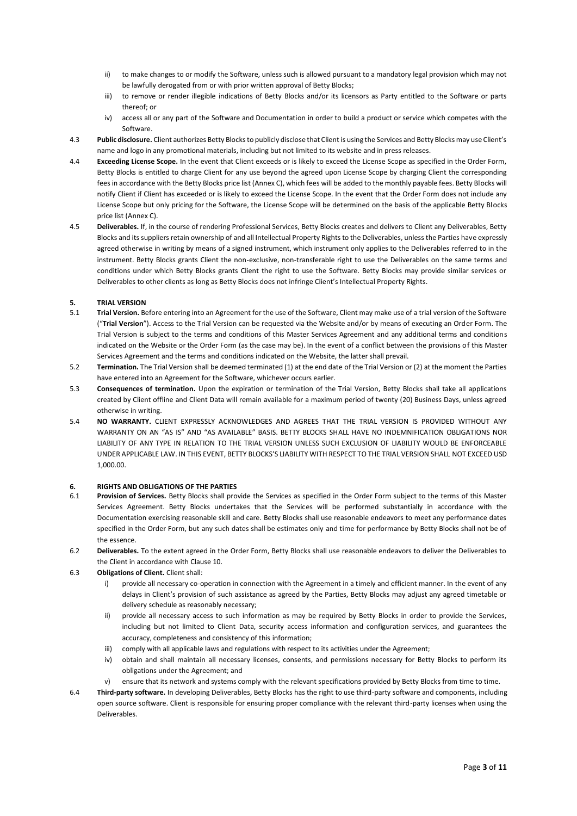- ii) to make changes to or modify the Software, unless such is allowed pursuant to a mandatory legal provision which may not be lawfully derogated from or with prior written approval of Betty Blocks;
- iii) to remove or render illegible indications of Betty Blocks and/or its licensors as Party entitled to the Software or parts thereof; or
- iv) access all or any part of the Software and Documentation in order to build a product or service which competes with the Software.
- 4.3 **Public disclosure.** Client authorizes Betty Blocks to publicly disclose that Client is using the Services and Betty Blocks may use Client's name and logo in any promotional materials, including but not limited to its website and in press releases.
- 4.4 **Exceeding License Scope.** In the event that Client exceeds or is likely to exceed the License Scope as specified in the Order Form, Betty Blocks is entitled to charge Client for any use beyond the agreed upon License Scope by charging Client the corresponding fees in accordance with the Betty Blocks price list (Annex C), which fees will be added to the monthly payable fees. Betty Blocks will notify Client if Client has exceeded or is likely to exceed the License Scope. In the event that the Order Form does not include any License Scope but only pricing for the Software, the License Scope will be determined on the basis of the applicable Betty Blocks price list (Annex C).
- 4.5 **Deliverables.** If, in the course of rendering Professional Services, Betty Blocks creates and delivers to Client any Deliverables, Betty Blocks and its suppliers retain ownership of and all Intellectual Property Rights to the Deliverables, unless the Parties have expressly agreed otherwise in writing by means of a signed instrument, which instrument only applies to the Deliverables referred to in the instrument. Betty Blocks grants Client the non-exclusive, non-transferable right to use the Deliverables on the same terms and conditions under which Betty Blocks grants Client the right to use the Software. Betty Blocks may provide similar services or Deliverables to other clients as long as Betty Blocks does not infringe Client's Intellectual Property Rights.

# **5. TRIAL VERSION**

- 5.1 **Trial Version.** Before entering into an Agreement for the use of the Software, Client may make use of a trial version of the Software ("**Trial Version**"). Access to the Trial Version can be requested via the Website and/or by means of executing an Order Form. The Trial Version is subject to the terms and conditions of this Master Services Agreement and any additional terms and conditions indicated on the Website or the Order Form (as the case may be). In the event of a conflict between the provisions of this Master Services Agreement and the terms and conditions indicated on the Website, the latter shall prevail.
- 5.2 **Termination.** The Trial Version shall be deemed terminated (1) at the end date of the Trial Version or (2) at the moment the Parties have entered into an Agreement for the Software, whichever occurs earlier.
- 5.3 **Consequences of termination.** Upon the expiration or termination of the Trial Version, Betty Blocks shall take all applications created by Client offline and Client Data will remain available for a maximum period of twenty (20) Business Days, unless agreed otherwise in writing.
- 5.4 **NO WARRANTY.** CLIENT EXPRESSLY ACKNOWLEDGES AND AGREES THAT THE TRIAL VERSION IS PROVIDED WITHOUT ANY WARRANTY ON AN "AS IS" AND "AS AVAILABLE" BASIS. BETTY BLOCKS SHALL HAVE NO INDEMNIFICATION OBLIGATIONS NOR LIABILITY OF ANY TYPE IN RELATION TO THE TRIAL VERSION UNLESS SUCH EXCLUSION OF LIABILITY WOULD BE ENFORCEABLE UNDER APPLICABLE LAW. IN THIS EVENT, BETTY BLOCKS'S LIABILITY WITH RESPECT TO THE TRIAL VERSION SHALL NOT EXCEED USD 1,000.00.

#### **6. RIGHTS AND OBLIGATIONS OF THE PARTIES**

- 6.1 **Provision of Services.** Betty Blocks shall provide the Services as specified in the Order Form subject to the terms of this Master Services Agreement. Betty Blocks undertakes that the Services will be performed substantially in accordance with the Documentation exercising reasonable skill and care. Betty Blocks shall use reasonable endeavors to meet any performance dates specified in the Order Form, but any such dates shall be estimates only and time for performance by Betty Blocks shall not be of the essence.
- 6.2 **Deliverables.** To the extent agreed in the Order Form, Betty Blocks shall use reasonable endeavors to deliver the Deliverables to the Client in accordance with Clause 10.
- 6.3 **Obligations of Client.** Client shall:
	- i) provide all necessary co-operation in connection with the Agreement in a timely and efficient manner. In the event of any delays in Client's provision of such assistance as agreed by the Parties, Betty Blocks may adjust any agreed timetable or delivery schedule as reasonably necessary;
	- ii) provide all necessary access to such information as may be required by Betty Blocks in order to provide the Services, including but not limited to Client Data, security access information and configuration services, and guarantees the accuracy, completeness and consistency of this information;
	- iii) comply with all applicable laws and regulations with respect to its activities under the Agreement;
	- iv) obtain and shall maintain all necessary licenses, consents, and permissions necessary for Betty Blocks to perform its obligations under the Agreement; and
	- v) ensure that its network and systems comply with the relevant specifications provided by Betty Blocks from time to time.
- 6.4 **Third-party software.** In developing Deliverables, Betty Blocks has the right to use third-party software and components, including open source software. Client is responsible for ensuring proper compliance with the relevant third-party licenses when using the Deliverables.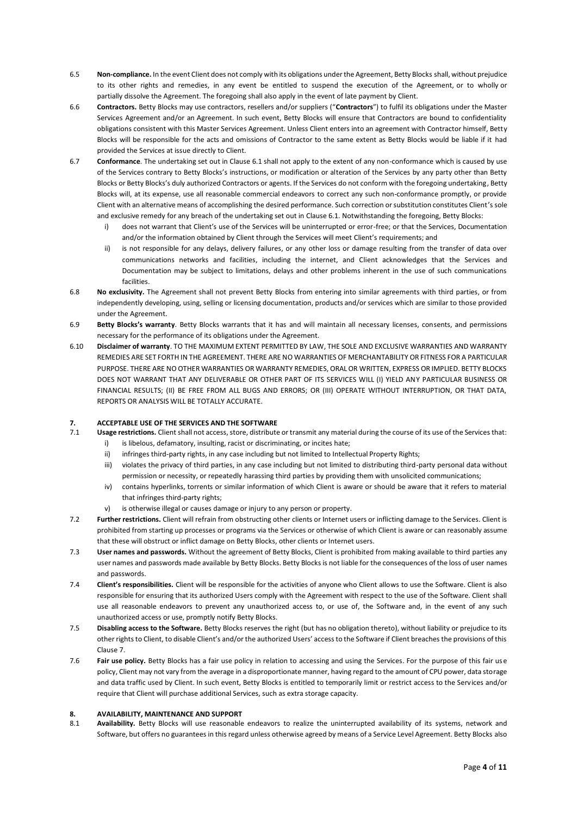- 6.5 **Non-compliance.** In the event Client does not comply with its obligations under the Agreement, Betty Blocks shall, without prejudice to its other rights and remedies, in any event be entitled to suspend the execution of the Agreement, or to wholly or partially dissolve the Agreement. The foregoing shall also apply in the event of late payment by Client.
- 6.6 **Contractors.** Betty Blocks may use contractors, resellers and/or suppliers ("**Contractors**") to fulfil its obligations under the Master Services Agreement and/or an Agreement. In such event, Betty Blocks will ensure that Contractors are bound to confidentiality obligations consistent with this Master Services Agreement. Unless Client enters into an agreement with Contractor himself, Betty Blocks will be responsible for the acts and omissions of Contractor to the same extent as Betty Blocks would be liable if it had provided the Services at issue directly to Client.
- 6.7 **Conformance**. The undertaking set out in Clause 6.1 shall not apply to the extent of any non-conformance which is caused by use of the Services contrary to Betty Blocks's instructions, or modification or alteration of the Services by any party other than Betty Blocks or Betty Blocks's duly authorized Contractors or agents. If the Services do not conform with the foregoing undertaking, Betty Blocks will, at its expense, use all reasonable commercial endeavors to correct any such non-conformance promptly, or provide Client with an alternative means of accomplishing the desired performance. Such correction or substitution constitutes Client's sole and exclusive remedy for any breach of the undertaking set out in Clause 6.1. Notwithstanding the foregoing, Betty Blocks:
	- i) does not warrant that Client's use of the Services will be uninterrupted or error-free; or that the Services, Documentation and/or the information obtained by Client through the Services will meet Client's requirements; and
	- ii) is not responsible for any delays, delivery failures, or any other loss or damage resulting from the transfer of data over communications networks and facilities, including the internet, and Client acknowledges that the Services and Documentation may be subject to limitations, delays and other problems inherent in the use of such communications facilities.
- 6.8 **No exclusivity.** The Agreement shall not prevent Betty Blocks from entering into similar agreements with third parties, or from independently developing, using, selling or licensing documentation, products and/or services which are similar to those provided under the Agreement.
- 6.9 **Betty Blocks's warranty**. Betty Blocks warrants that it has and will maintain all necessary licenses, consents, and permissions necessary for the performance of its obligations under the Agreement.
- 6.10 **Disclaimer of warranty**. TO THE MAXIMUM EXTENT PERMITTED BY LAW, THE SOLE AND EXCLUSIVE WARRANTIES AND WARRANTY REMEDIES ARE SET FORTH IN THE AGREEMENT. THERE ARE NO WARRANTIES OF MERCHANTABILITY OR FITNESS FOR A PARTICULAR PURPOSE. THERE ARE NO OTHER WARRANTIES OR WARRANTY REMEDIES, ORAL OR WRITTEN, EXPRESS OR IMPLIED. BETTY BLOCKS DOES NOT WARRANT THAT ANY DELIVERABLE OR OTHER PART OF ITS SERVICES WILL (I) YIELD ANY PARTICULAR BUSINESS OR FINANCIAL RESULTS; (II) BE FREE FROM ALL BUGS AND ERRORS; OR (III) OPERATE WITHOUT INTERRUPTION, OR THAT DATA, REPORTS OR ANALYSIS WILL BE TOTALLY ACCURATE.

# **7. ACCEPTABLE USE OF THE SERVICES AND THE SOFTWARE**

- 7.1 **Usage restrictions.** Client shall not access, store, distribute or transmit any material during the course of its use of the Services that:
	- i) is libelous, defamatory, insulting, racist or discriminating, or incites hate;
	- ii) infringes third-party rights, in any case including but not limited to Intellectual Property Rights;
	- iii) violates the privacy of third parties, in any case including but not limited to distributing third-party personal data without permission or necessity, or repeatedly harassing third parties by providing them with unsolicited communications;
	- iv) contains hyperlinks, torrents or similar information of which Client is aware or should be aware that it refers to material that infringes third-party rights;
	- v) is otherwise illegal or causes damage or injury to any person or property.
- 7.2 **Further restrictions.** Client will refrain from obstructing other clients or Internet users or inflicting damage to the Services. Client is prohibited from starting up processes or programs via the Services or otherwise of which Client is aware or can reasonably assume that these will obstruct or inflict damage on Betty Blocks, other clients or Internet users.
- 7.3 **User names and passwords.** Without the agreement of Betty Blocks, Client is prohibited from making available to third parties any user names and passwords made available by Betty Blocks. Betty Blocks is not liable for the consequences of the loss of user names and passwords.
- 7.4 **Client's responsibilities.** Client will be responsible for the activities of anyone who Client allows to use the Software. Client is also responsible for ensuring that its authorized Users comply with the Agreement with respect to the use of the Software. Client shall use all reasonable endeavors to prevent any unauthorized access to, or use of, the Software and, in the event of any such unauthorized access or use, promptly notify Betty Blocks.
- 7.5 **Disabling access to the Software.** Betty Blocks reserves the right (but has no obligation thereto), without liability or prejudice to its other rights to Client, to disable Client's and/or the authorized Users' access to the Software if Client breaches the provisions of this Clause 7.
- 7.6 **Fair use policy.** Betty Blocks has a fair use policy in relation to accessing and using the Services. For the purpose of this fair use policy, Client may not vary from the average in a disproportionate manner, having regard to the amount of CPU power, data storage and data traffic used by Client. In such event, Betty Blocks is entitled to temporarily limit or restrict access to the Services and/or require that Client will purchase additional Services, such as extra storage capacity.

#### **8. AVAILABILITY, MAINTENANCE AND SUPPORT**

8.1 **Availability.** Betty Blocks will use reasonable endeavors to realize the uninterrupted availability of its systems, network and Software, but offers no guarantees in this regard unless otherwise agreed by means of a Service Level Agreement. Betty Blocks also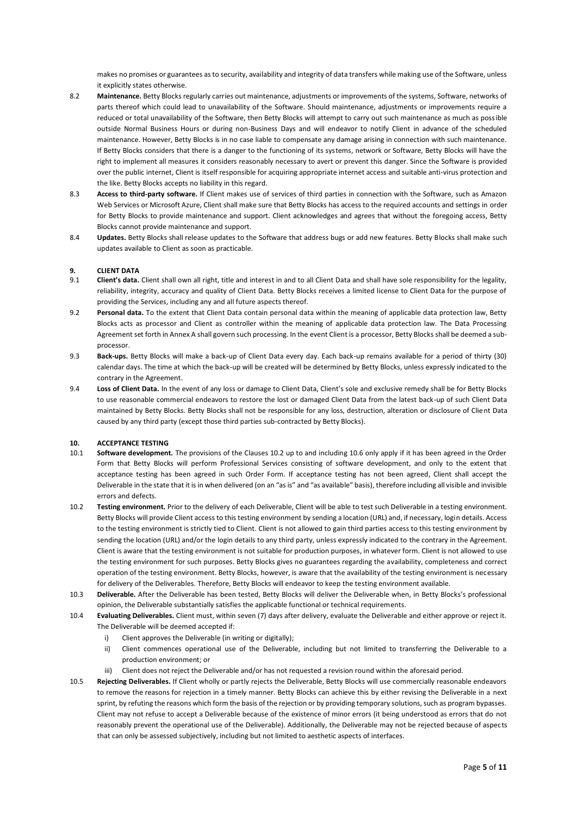makes no promises or guarantees as to security, availability and integrity of data transfers while making use of the Software, unless it explicitly states otherwise.

- 8.2 **Maintenance.** Betty Blocks regularly carries out maintenance, adjustments or improvements of the systems, Software, networks of parts thereof which could lead to unavailability of the Software. Should maintenance, adjustments or improvements require a reduced or total unavailability of the Software, then Betty Blocks will attempt to carry out such maintenance as much as possible outside Normal Business Hours or during non-Business Days and will endeavor to notify Client in advance of the scheduled maintenance. However, Betty Blocks is in no case liable to compensate any damage arising in connection with such maintenance. If Betty Blocks considers that there is a danger to the functioning of its systems, network or Software, Betty Blocks will have the right to implement all measures it considers reasonably necessary to avert or prevent this danger. Since the Software is provided over the public internet, Client is itself responsible for acquiring appropriate internet access and suitable anti-virus protection and the like. Betty Blocks accepts no liability in this regard.
- 8.3 **Access to third-party software.** If Client makes use of services of third parties in connection with the Software, such as Amazon Web Services or Microsoft Azure, Client shall make sure that Betty Blocks has access to the required accounts and settings in order for Betty Blocks to provide maintenance and support. Client acknowledges and agrees that without the foregoing access, Betty Blocks cannot provide maintenance and support.
- 8.4 **Updates.** Betty Blocks shall release updates to the Software that address bugs or add new features. Betty Blocks shall make such updates available to Client as soon as practicable.

#### **9. CLIENT DATA**

- 9.1 **Client's data.** Client shall own all right, title and interest in and to all Client Data and shall have sole responsibility for the legality, reliability, integrity, accuracy and quality of Client Data. Betty Blocks receives a limited license to Client Data for the purpose of providing the Services, including any and all future aspects thereof.
- 9.2 **Personal data.** To the extent that Client Data contain personal data within the meaning of applicable data protection law, Betty Blocks acts as processor and Client as controller within the meaning of applicable data protection law. The Data Processing Agreement set forth in Annex A shall govern such processing. In the event Client is a processor, Betty Blocks shall be deemed a subprocessor.
- 9.3 **Back-ups.** Betty Blocks will make a back-up of Client Data every day. Each back-up remains available for a period of thirty (30) calendar days. The time at which the back-up will be created will be determined by Betty Blocks, unless expressly indicated to the contrary in the Agreement.
- 9.4 **Loss of Client Data.** In the event of any loss or damage to Client Data, Client's sole and exclusive remedy shall be for Betty Blocks to use reasonable commercial endeavors to restore the lost or damaged Client Data from the latest back-up of such Client Data maintained by Betty Blocks. Betty Blocks shall not be responsible for any loss, destruction, alteration or disclosure of Client Data caused by any third party (except those third parties sub-contracted by Betty Blocks).

#### **10. ACCEPTANCE TESTING**

- 10.1 **Software development.** The provisions of the Clauses 10.2 up to and including 10.6 only apply if it has been agreed in the Order Form that Betty Blocks will perform Professional Services consisting of software development, and only to the extent that acceptance testing has been agreed in such Order Form. If acceptance testing has not been agreed, Client shall accept the Deliverable in the state that it is in when delivered (on an "as is" and "as available" basis), therefore including all visible and invisible errors and defects.
- 10.2 **Testing environment.** Prior to the delivery of each Deliverable, Client will be able to test such Deliverable in a testing environment. Betty Blocks will provide Client access to this testing environment by sending a location (URL) and, if necessary, login details. Access to the testing environment is strictly tied to Client. Client is not allowed to gain third parties access to this testing environment by sending the location (URL) and/or the login details to any third party, unless expressly indicated to the contrary in the Agreement. Client is aware that the testing environment is not suitable for production purposes, in whatever form. Client is not allowed to use the testing environment for such purposes. Betty Blocks gives no guarantees regarding the availability, completeness and correct operation of the testing environment. Betty Blocks, however, is aware that the availability of the testing environment is necessary for delivery of the Deliverables. Therefore, Betty Blocks will endeavor to keep the testing environment available.
- 10.3 **Deliverable.** After the Deliverable has been tested, Betty Blocks will deliver the Deliverable when, in Betty Blocks's professional opinion, the Deliverable substantially satisfies the applicable functional or technical requirements.
- 10.4 **Evaluating Deliverables.** Client must, within seven (7) days after delivery, evaluate the Deliverable and either approve or reject it. The Deliverable will be deemed accepted if:
	- i) Client approves the Deliverable (in writing or digitally);
	- ii) Client commences operational use of the Deliverable, including but not limited to transferring the Deliverable to a production environment; or
	- iii) Client does not reject the Deliverable and/or has not requested a revision round within the aforesaid period.
- 10.5 **Rejecting Deliverables.** If Client wholly or partly rejects the Deliverable, Betty Blocks will use commercially reasonable endeavors to remove the reasons for rejection in a timely manner. Betty Blocks can achieve this by either revising the Deliverable in a next sprint, by refuting the reasons which form the basis of the rejection or by providing temporary solutions, such as program bypasses. Client may not refuse to accept a Deliverable because of the existence of minor errors (it being understood as errors that do not reasonably prevent the operational use of the Deliverable). Additionally, the Deliverable may not be rejected because of aspects that can only be assessed subjectively, including but not limited to aesthetic aspects of interfaces.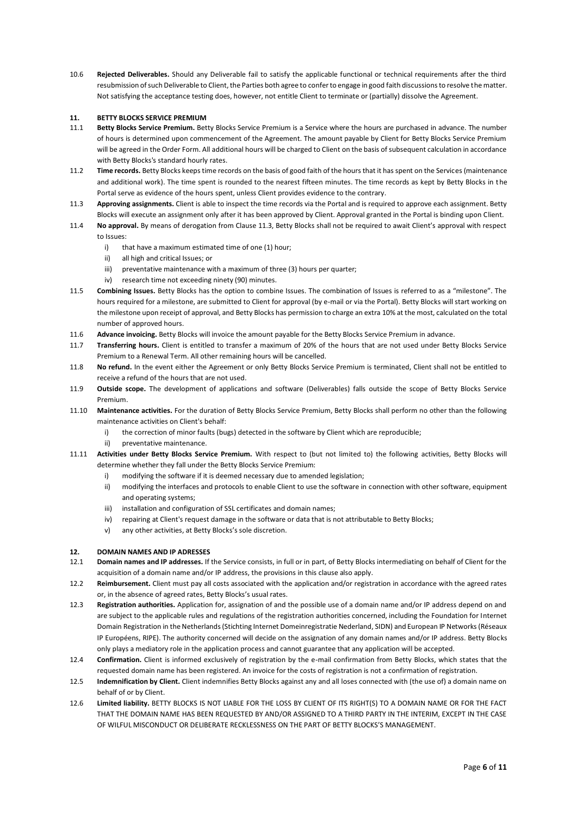10.6 **Rejected Deliverables.** Should any Deliverable fail to satisfy the applicable functional or technical requirements after the third resubmission of such Deliverable to Client, the Parties both agree to confer to engage in good faith discussions to resolve the matter. Not satisfying the acceptance testing does, however, not entitle Client to terminate or (partially) dissolve the Agreement.

# **11. BETTY BLOCKS SERVICE PREMIUM**

- 11.1 **Betty Blocks Service Premium.** Betty Blocks Service Premium is a Service where the hours are purchased in advance. The number of hours is determined upon commencement of the Agreement. The amount payable by Client for Betty Blocks Service Premium will be agreed in the Order Form. All additional hours will be charged to Client on the basis of subsequent calculation in accordance with Betty Blocks's standard hourly rates.
- 11.2 **Time records.** Betty Blocks keeps time records on the basis of good faith of the hours that it has spent on the Services (maintenance and additional work). The time spent is rounded to the nearest fifteen minutes. The time records as kept by Betty Blocks in the Portal serve as evidence of the hours spent, unless Client provides evidence to the contrary.
- 11.3 **Approving assignments.** Client is able to inspect the time records via the Portal and is required to approve each assignment. Betty Blocks will execute an assignment only after it has been approved by Client. Approval granted in the Portal is binding upon Client.
- 11.4 **No approval.** By means of derogation from Clause 11.3, Betty Blocks shall not be required to await Client's approval with respect to Issues:
	- i) that have a maximum estimated time of one (1) hour;
	- ii) all high and critical Issues; or
	- iii) preventative maintenance with a maximum of three (3) hours per quarter;
	- iv) research time not exceeding ninety (90) minutes.
- 11.5 **Combining Issues.** Betty Blocks has the option to combine Issues. The combination of Issues is referred to as a "milestone". The hours required for a milestone, are submitted to Client for approval (by e-mail or via the Portal). Betty Blocks will start working on the milestone upon receipt of approval, and Betty Blocks has permission to charge an extra 10% at the most, calculated on the total number of approved hours.
- 11.6 **Advance invoicing.** Betty Blocks will invoice the amount payable for the Betty Blocks Service Premium in advance.
- 11.7 **Transferring hours.** Client is entitled to transfer a maximum of 20% of the hours that are not used under Betty Blocks Service Premium to a Renewal Term. All other remaining hours will be cancelled.
- 11.8 **No refund.** In the event either the Agreement or only Betty Blocks Service Premium is terminated, Client shall not be entitled to receive a refund of the hours that are not used.
- 11.9 **Outside scope.** The development of applications and software (Deliverables) falls outside the scope of Betty Blocks Service Premium.
- 11.10 **Maintenance activities.** For the duration of Betty Blocks Service Premium, Betty Blocks shall perform no other than the following maintenance activities on Client's behalf:
	- i) the correction of minor faults (bugs) detected in the software by Client which are reproducible;
	- ii) preventative maintenance.
- 11.11 **Activities under Betty Blocks Service Premium.** With respect to (but not limited to) the following activities, Betty Blocks will determine whether they fall under the Betty Blocks Service Premium:
	- i) modifying the software if it is deemed necessary due to amended legislation;
	- ii) modifying the interfaces and protocols to enable Client to use the software in connection with other software, equipment and operating systems;
	- iii) installation and configuration of SSL certificates and domain names;
	- iv) repairing at Client's request damage in the software or data that is not attributable to Betty Blocks;
	- v) any other activities, at Betty Blocks's sole discretion.

#### **12. DOMAIN NAMES AND IP ADRESSES**

- 12.1 **Domain names and IP addresses.** If the Service consists, in full or in part, of Betty Blocks intermediating on behalf of Client for the acquisition of a domain name and/or IP address, the provisions in this clause also apply.
- 12.2 **Reimbursement.** Client must pay all costs associated with the application and/or registration in accordance with the agreed rates or, in the absence of agreed rates, Betty Blocks's usual rates.
- 12.3 **Registration authorities.** Application for, assignation of and the possible use of a domain name and/or IP address depend on and are subject to the applicable rules and regulations of the registration authorities concerned, including the Foundation for Internet Domain Registration in the Netherlands (Stichting Internet Domeinregistratie Nederland, SIDN) and European IP Networks (Réseaux IP Européens, RIPE). The authority concerned will decide on the assignation of any domain names and/or IP address. Betty Blocks only plays a mediatory role in the application process and cannot guarantee that any application will be accepted.
- 12.4 **Confirmation.** Client is informed exclusively of registration by the e-mail confirmation from Betty Blocks, which states that the requested domain name has been registered. An invoice for the costs of registration is not a confirmation of registration.
- 12.5 **Indemnification by Client.** Client indemnifies Betty Blocks against any and all loses connected with (the use of) a domain name on behalf of or by Client.
- 12.6 **Limited liability.** BETTY BLOCKS IS NOT LIABLE FOR THE LOSS BY CLIENT OF ITS RIGHT(S) TO A DOMAIN NAME OR FOR THE FACT THAT THE DOMAIN NAME HAS BEEN REQUESTED BY AND/OR ASSIGNED TO A THIRD PARTY IN THE INTERIM, EXCEPT IN THE CASE OF WILFUL MISCONDUCT OR DELIBERATE RECKLESSNESS ON THE PART OF BETTY BLOCKS'S MANAGEMENT.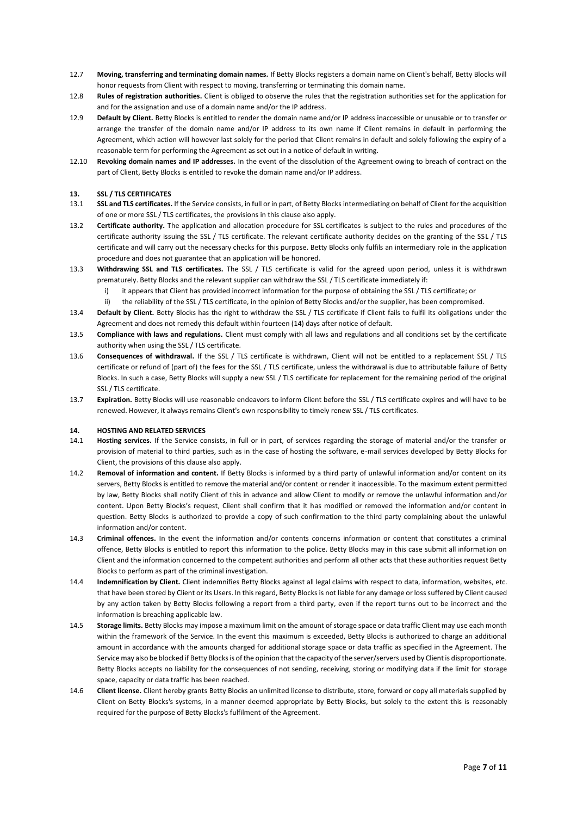- 12.7 **Moving, transferring and terminating domain names.** If Betty Blocks registers a domain name on Client's behalf, Betty Blocks will honor requests from Client with respect to moving, transferring or terminating this domain name.
- 12.8 **Rules of registration authorities.** Client is obliged to observe the rules that the registration authorities set for the application for and for the assignation and use of a domain name and/or the IP address.
- 12.9 **Default by Client.** Betty Blocks is entitled to render the domain name and/or IP address inaccessible or unusable or to transfer or arrange the transfer of the domain name and/or IP address to its own name if Client remains in default in performing the Agreement, which action will however last solely for the period that Client remains in default and solely following the expiry of a reasonable term for performing the Agreement as set out in a notice of default in writing.
- 12.10 **Revoking domain names and IP addresses.** In the event of the dissolution of the Agreement owing to breach of contract on the part of Client, Betty Blocks is entitled to revoke the domain name and/or IP address.

#### **13. SSL / TLS CERTIFICATES**

- 13.1 **SSL and TLS certificates.** If the Service consists, in full or in part, of Betty Blocks intermediating on behalf of Client for the acquisition of one or more SSL / TLS certificates, the provisions in this clause also apply.
- 13.2 **Certificate authority.** The application and allocation procedure for SSL certificates is subject to the rules and procedures of the certificate authority issuing the SSL / TLS certificate. The relevant certificate authority decides on the granting of the SSL / TLS certificate and will carry out the necessary checks for this purpose. Betty Blocks only fulfils an intermediary role in the application procedure and does not guarantee that an application will be honored.
- 13.3 **Withdrawing SSL and TLS certificates.** The SSL / TLS certificate is valid for the agreed upon period, unless it is withdrawn prematurely. Betty Blocks and the relevant supplier can withdraw the SSL / TLS certificate immediately if:
	- i) it appears that Client has provided incorrect information for the purpose of obtaining the SSL / TLS certificate; or
	- ii) the reliability of the SSL / TLS certificate, in the opinion of Betty Blocks and/or the supplier, has been compromised.
- 13.4 **Default by Client.** Betty Blocks has the right to withdraw the SSL / TLS certificate if Client fails to fulfil its obligations under the Agreement and does not remedy this default within fourteen (14) days after notice of default.
- 13.5 **Compliance with laws and regulations.** Client must comply with all laws and regulations and all conditions set by the certificate authority when using the SSL / TLS certificate.
- 13.6 **Consequences of withdrawal.** If the SSL / TLS certificate is withdrawn, Client will not be entitled to a replacement SSL / TLS certificate or refund of (part of) the fees for the SSL / TLS certificate, unless the withdrawal is due to attributable failure of Betty Blocks. In such a case, Betty Blocks will supply a new SSL / TLS certificate for replacement for the remaining period of the original SSL / TLS certificate.
- 13.7 **Expiration.** Betty Blocks will use reasonable endeavors to inform Client before the SSL / TLS certificate expires and will have to be renewed. However, it always remains Client's own responsibility to timely renew SSL / TLS certificates.

#### **14. HOSTING AND RELATED SERVICES**

- 14.1 **Hosting services.** If the Service consists, in full or in part, of services regarding the storage of material and/or the transfer or provision of material to third parties, such as in the case of hosting the software, e-mail services developed by Betty Blocks for Client, the provisions of this clause also apply.
- 14.2 **Removal of information and content.** If Betty Blocks is informed by a third party of unlawful information and/or content on its servers, Betty Blocks is entitled to remove the material and/or content or render it inaccessible. To the maximum extent permitted by law, Betty Blocks shall notify Client of this in advance and allow Client to modify or remove the unlawful information and/or content. Upon Betty Blocks's request, Client shall confirm that it has modified or removed the information and/or content in question. Betty Blocks is authorized to provide a copy of such confirmation to the third party complaining about the unlawful information and/or content.
- 14.3 **Criminal offences.** In the event the information and/or contents concerns information or content that constitutes a criminal offence, Betty Blocks is entitled to report this information to the police. Betty Blocks may in this case submit all information on Client and the information concerned to the competent authorities and perform all other acts that these authorities request Betty Blocks to perform as part of the criminal investigation.
- 14.4 **Indemnification by Client.** Client indemnifies Betty Blocks against all legal claims with respect to data, information, websites, etc. that have been stored by Client or its Users. In this regard, Betty Blocks is not liable for any damage or loss suffered by Client caused by any action taken by Betty Blocks following a report from a third party, even if the report turns out to be incorrect and the information is breaching applicable law.
- 14.5 **Storage limits.** Betty Blocks may impose a maximum limit on the amount of storage space or data traffic Client may use each month within the framework of the Service. In the event this maximum is exceeded, Betty Blocks is authorized to charge an additional amount in accordance with the amounts charged for additional storage space or data traffic as specified in the Agreement. The Service may also be blocked if Betty Blocks is of the opinion that the capacity of the server/servers used by Client is disproportionate. Betty Blocks accepts no liability for the consequences of not sending, receiving, storing or modifying data if the limit for storage space, capacity or data traffic has been reached.
- 14.6 **Client license.** Client hereby grants Betty Blocks an unlimited license to distribute, store, forward or copy all materials supplied by Client on Betty Blocks's systems, in a manner deemed appropriate by Betty Blocks, but solely to the extent this is reasonably required for the purpose of Betty Blocks's fulfilment of the Agreement.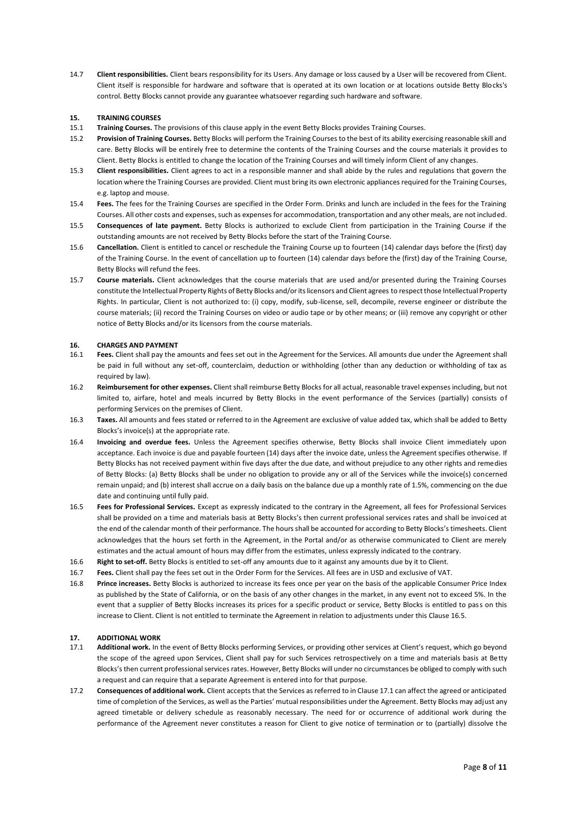14.7 **Client responsibilities.** Client bears responsibility for its Users. Any damage or loss caused by a User will be recovered from Client. Client itself is responsible for hardware and software that is operated at its own location or at locations outside Betty Blocks's control. Betty Blocks cannot provide any guarantee whatsoever regarding such hardware and software.

#### **15. TRAINING COURSES**

- 15.1 **Training Courses.** The provisions of this clause apply in the event Betty Blocks provides Training Courses.
- 15.2 **Provision of Training Courses.** Betty Blocks will perform the Training Courses to the best of its ability exercising reasonable skill and care. Betty Blocks will be entirely free to determine the contents of the Training Courses and the course materials it provides to Client. Betty Blocks is entitled to change the location of the Training Courses and will timely inform Client of any changes.
- 15.3 **Client responsibilities.** Client agrees to act in a responsible manner and shall abide by the rules and regulations that govern the location where the Training Courses are provided. Client must bring its own electronic appliances required for the Training Courses, e.g. laptop and mouse.
- 15.4 **Fees.** The fees for the Training Courses are specified in the Order Form. Drinks and lunch are included in the fees for the Training Courses. All other costs and expenses, such as expenses for accommodation, transportation and any other meals, are not included.
- 15.5 **Consequences of late payment.** Betty Blocks is authorized to exclude Client from participation in the Training Course if the outstanding amounts are not received by Betty Blocks before the start of the Training Course.
- 15.6 **Cancellation.** Client is entitled to cancel or reschedule the Training Course up to fourteen (14) calendar days before the (first) day of the Training Course. In the event of cancellation up to fourteen (14) calendar days before the (first) day of the Training Course, Betty Blocks will refund the fees.
- 15.7 **Course materials.** Client acknowledges that the course materials that are used and/or presented during the Training Courses constitute the Intellectual Property Rights of Betty Blocks and/or its licensors and Client agrees to respect those Intellectual Property Rights. In particular, Client is not authorized to: (i) copy, modify, sub-license, sell, decompile, reverse engineer or distribute the course materials; (ii) record the Training Courses on video or audio tape or by other means; or (iii) remove any copyright or other notice of Betty Blocks and/or its licensors from the course materials.

#### **16. CHARGES AND PAYMENT**

- 16.1 **Fees.** Client shall pay the amounts and fees set out in the Agreement for the Services. All amounts due under the Agreement shall be paid in full without any set-off, counterclaim, deduction or withholding (other than any deduction or withholding of tax as required by law).
- 16.2 **Reimbursement for other expenses.** Client shall reimburse Betty Blocks for all actual, reasonable travel expenses including, but not limited to, airfare, hotel and meals incurred by Betty Blocks in the event performance of the Services (partially) consists of performing Services on the premises of Client.
- 16.3 **Taxes.** All amounts and fees stated or referred to in the Agreement are exclusive of value added tax, which shall be added to Betty Blocks's invoice(s) at the appropriate rate.
- 16.4 **Invoicing and overdue fees.** Unless the Agreement specifies otherwise, Betty Blocks shall invoice Client immediately upon acceptance. Each invoice is due and payable fourteen (14) days after the invoice date, unless the Agreement specifies otherwise. If Betty Blocks has not received payment within five days after the due date, and without prejudice to any other rights and remedies of Betty Blocks: (a) Betty Blocks shall be under no obligation to provide any or all of the Services while the invoice(s) concerned remain unpaid; and (b) interest shall accrue on a daily basis on the balance due up a monthly rate of 1.5%, commencing on the due date and continuing until fully paid.
- 16.5 **Fees for Professional Services.** Except as expressly indicated to the contrary in the Agreement, all fees for Professional Services shall be provided on a time and materials basis at Betty Blocks's then current professional services rates and shall be invoiced at the end of the calendar month of their performance. The hours shall be accounted for according to Betty Blocks's timesheets. Client acknowledges that the hours set forth in the Agreement, in the Portal and/or as otherwise communicated to Client are merely estimates and the actual amount of hours may differ from the estimates, unless expressly indicated to the contrary.
- 16.6 **Right to set-off.** Betty Blocks is entitled to set-off any amounts due to it against any amounts due by it to Client.
- 16.7 **Fees.** Client shall pay the fees set out in the Order Form for the Services. All fees are in USD and exclusive of VAT.
- 16.8 **Prince increases.** Betty Blocks is authorized to increase its fees once per year on the basis of the applicable Consumer Price Index as published by the State of California, or on the basis of any other changes in the market, in any event not to exceed 5%. In the event that a supplier of Betty Blocks increases its prices for a specific product or service, Betty Blocks is entitled to pass on this increase to Client. Client is not entitled to terminate the Agreement in relation to adjustments under this Clause 16.5.

#### **17. ADDITIONAL WORK**

- 17.1 **Additional work.** In the event of Betty Blocks performing Services, or providing other services at Client's request, which go beyond the scope of the agreed upon Services, Client shall pay for such Services retrospectively on a time and materials basis at Betty Blocks's then current professional services rates. However, Betty Blocks will under no circumstances be obliged to comply with such a request and can require that a separate Agreement is entered into for that purpose.
- 17.2 **Consequences of additional work.** Client accepts that the Services as referred to in Clause 17.1 can affect the agreed or anticipated time of completion of the Services, as well as the Parties' mutual responsibilities under the Agreement. Betty Blocks may adjust any agreed timetable or delivery schedule as reasonably necessary. The need for or occurrence of additional work during the performance of the Agreement never constitutes a reason for Client to give notice of termination or to (partially) dissolve the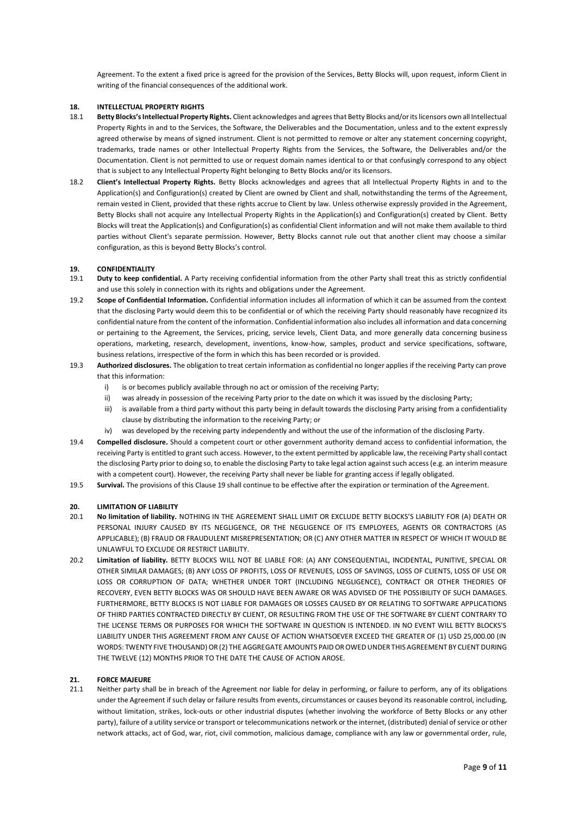Agreement. To the extent a fixed price is agreed for the provision of the Services, Betty Blocks will, upon request, inform Client in writing of the financial consequences of the additional work.

#### **18. INTELLECTUAL PROPERTY RIGHTS**

- 18.1 **Betty Blocks's Intellectual Property Rights.** Client acknowledges and agrees that Betty Blocks and/or its licensors own all Intellectual Property Rights in and to the Services, the Software, the Deliverables and the Documentation, unless and to the extent expressly agreed otherwise by means of signed instrument. Client is not permitted to remove or alter any statement concerning copyright, trademarks, trade names or other Intellectual Property Rights from the Services, the Software, the Deliverables and/or the Documentation. Client is not permitted to use or request domain names identical to or that confusingly correspond to any object that is subject to any Intellectual Property Right belonging to Betty Blocks and/or its licensors.
- 18.2 **Client's Intellectual Property Rights.** Betty Blocks acknowledges and agrees that all Intellectual Property Rights in and to the Application(s) and Configuration(s) created by Client are owned by Client and shall, notwithstanding the terms of the Agreement, remain vested in Client, provided that these rights accrue to Client by law. Unless otherwise expressly provided in the Agreement, Betty Blocks shall not acquire any Intellectual Property Rights in the Application(s) and Configuration(s) created by Client. Betty Blocks will treat the Application(s) and Configuration(s) as confidential Client information and will not make them available to third parties without Client's separate permission. However, Betty Blocks cannot rule out that another client may choose a similar configuration, as this is beyond Betty Blocks's control.

# **19. CONFIDENTIALITY**

- 19.1 **Duty to keep confidential.** A Party receiving confidential information from the other Party shall treat this as strictly confidential and use this solely in connection with its rights and obligations under the Agreement.
- 19.2 **Scope of Confidential Information.** Confidential information includes all information of which it can be assumed from the context that the disclosing Party would deem this to be confidential or of which the receiving Party should reasonably have recognized its confidential nature from the content of the information. Confidential information also includes all information and data concerning or pertaining to the Agreement, the Services, pricing, service levels, Client Data, and more generally data concerning business operations, marketing, research, development, inventions, know-how, samples, product and service specifications, software, business relations, irrespective of the form in which this has been recorded or is provided.
- 19.3 **Authorized disclosures.** The obligation to treat certain information as confidential no longer applies if the receiving Party can prove that this information:
	- i) is or becomes publicly available through no act or omission of the receiving Party;
	- ii) was already in possession of the receiving Party prior to the date on which it was issued by the disclosing Party;
	- iii) is available from a third party without this party being in default towards the disclosing Party arising from a confidentiality clause by distributing the information to the receiving Party; or
	- iv) was developed by the receiving party independently and without the use of the information of the disclosing Party.
- 19.4 **Compelled disclosure.** Should a competent court or other government authority demand access to confidential information, the receiving Party is entitled to grant such access. However, to the extent permitted by applicable law, the receiving Party shall contact the disclosing Party prior to doing so, to enable the disclosing Party to take legal action against such access (e.g. an interim measure with a competent court). However, the receiving Party shall never be liable for granting access if legally obligated.
- 19.5 **Survival.** The provisions of this Clause 19 shall continue to be effective after the expiration or termination of the Agreement.

# **20. LIMITATION OF LIABILITY**

- 20.1 **No limitation of liability.** NOTHING IN THE AGREEMENT SHALL LIMIT OR EXCLUDE BETTY BLOCKS'S LIABILITY FOR (A) DEATH OR PERSONAL INJURY CAUSED BY ITS NEGLIGENCE, OR THE NEGLIGENCE OF ITS EMPLOYEES, AGENTS OR CONTRACTORS (AS APPLICABLE); (B) FRAUD OR FRAUDULENT MISREPRESENTATION; OR (C) ANY OTHER MATTER IN RESPECT OF WHICH IT WOULD BE UNLAWFUL TO EXCLUDE OR RESTRICT LIABILITY.
- 20.2 **Limitation of liability.** BETTY BLOCKS WILL NOT BE LIABLE FOR: (A) ANY CONSEQUENTIAL, INCIDENTAL, PUNITIVE, SPECIAL OR OTHER SIMILAR DAMAGES; (B) ANY LOSS OF PROFITS, LOSS OF REVENUES, LOSS OF SAVINGS, LOSS OF CLIENTS, LOSS OF USE OR LOSS OR CORRUPTION OF DATA; WHETHER UNDER TORT (INCLUDING NEGLIGENCE), CONTRACT OR OTHER THEORIES OF RECOVERY, EVEN BETTY BLOCKS WAS OR SHOULD HAVE BEEN AWARE OR WAS ADVISED OF THE POSSIBILITY OF SUCH DAMAGES. FURTHERMORE, BETTY BLOCKS IS NOT LIABLE FOR DAMAGES OR LOSSES CAUSED BY OR RELATING TO SOFTWARE APPLICATIONS OF THIRD PARTIES CONTRACTED DIRECTLY BY CLIENT, OR RESULTING FROM THE USE OF THE SOFTWARE BY CLIENT CONTRARY TO THE LICENSE TERMS OR PURPOSES FOR WHICH THE SOFTWARE IN QUESTION IS INTENDED. IN NO EVENT WILL BETTY BLOCKS'S LIABILITY UNDER THIS AGREEMENT FROM ANY CAUSE OF ACTION WHATSOEVER EXCEED THE GREATER OF (1) USD 25,000.00 (IN WORDS: TWENTY FIVE THOUSAND) OR (2) THE AGGREGATE AMOUNTS PAID OR OWED UNDER THIS AGREEMENT BY CLIENT DURING THE TWELVE (12) MONTHS PRIOR TO THE DATE THE CAUSE OF ACTION AROSE.

#### **21. FORCE MAJEURE**

21.1 Neither party shall be in breach of the Agreement nor liable for delay in performing, or failure to perform, any of its obligations under the Agreement if such delay or failure results from events, circumstances or causes beyond its reasonable control, including, without limitation, strikes, lock-outs or other industrial disputes (whether involving the workforce of Betty Blocks or any other party), failure of a utility service or transport or telecommunications network or the internet, (distributed) denial of service or other network attacks, act of God, war, riot, civil commotion, malicious damage, compliance with any law or governmental order, rule,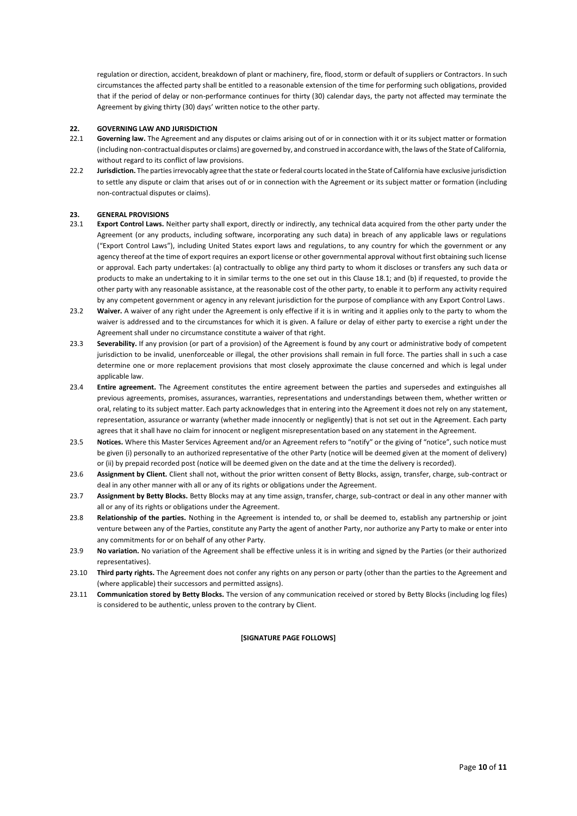regulation or direction, accident, breakdown of plant or machinery, fire, flood, storm or default of suppliers or Contractors. In such circumstances the affected party shall be entitled to a reasonable extension of the time for performing such obligations, provided that if the period of delay or non-performance continues for thirty (30) calendar days, the party not affected may terminate the Agreement by giving thirty (30) days' written notice to the other party.

#### **22. GOVERNING LAW AND JURISDICTION**

- 22.1 **Governing law.** The Agreement and any disputes or claims arising out of or in connection with it or its subject matter or formation (including non-contractual disputes or claims) are governed by, and construed in accordance with, the laws of the State of California, without regard to its conflict of law provisions.
- 22.2 **Jurisdiction.** The parties irrevocably agree that the state or federal courts located in the State of California have exclusive jurisdiction to settle any dispute or claim that arises out of or in connection with the Agreement or its subject matter or formation (including non-contractual disputes or claims).

# **23. GENERAL PROVISIONS**

- 23.1 **Export Control Laws.** Neither party shall export, directly or indirectly, any technical data acquired from the other party under the Agreement (or any products, including software, incorporating any such data) in breach of any applicable laws or regulations ("Export Control Laws"), including United States export laws and regulations, to any country for which the government or any agency thereof at the time of export requires an export license or other governmental approval without first obtaining such license or approval. Each party undertakes: (a) contractually to oblige any third party to whom it discloses or transfers any such data or products to make an undertaking to it in similar terms to the one set out in this Clause 18.1; and (b) if requested, to provide the other party with any reasonable assistance, at the reasonable cost of the other party, to enable it to perform any activity required by any competent government or agency in any relevant jurisdiction for the purpose of compliance with any Export Control Laws.
- 23.2 Waiver. A waiver of any right under the Agreement is only effective if it is in writing and it applies only to the party to whom the waiver is addressed and to the circumstances for which it is given. A failure or delay of either party to exercise a right under the Agreement shall under no circumstance constitute a waiver of that right.
- 23.3 **Severability.** If any provision (or part of a provision) of the Agreement is found by any court or administrative body of competent jurisdiction to be invalid, unenforceable or illegal, the other provisions shall remain in full force. The parties shall in such a case determine one or more replacement provisions that most closely approximate the clause concerned and which is legal under applicable law.
- 23.4 **Entire agreement.** The Agreement constitutes the entire agreement between the parties and supersedes and extinguishes all previous agreements, promises, assurances, warranties, representations and understandings between them, whether written or oral, relating to its subject matter. Each party acknowledges that in entering into the Agreement it does not rely on any statement, representation, assurance or warranty (whether made innocently or negligently) that is not set out in the Agreement. Each party agrees that it shall have no claim for innocent or negligent misrepresentation based on any statement in the Agreement.
- 23.5 **Notices.** Where this Master Services Agreement and/or an Agreement refers to "notify" or the giving of "notice", such notice must be given (i) personally to an authorized representative of the other Party (notice will be deemed given at the moment of delivery) or (ii) by prepaid recorded post (notice will be deemed given on the date and at the time the delivery is recorded).
- 23.6 **Assignment by Client.** Client shall not, without the prior written consent of Betty Blocks, assign, transfer, charge, sub-contract or deal in any other manner with all or any of its rights or obligations under the Agreement.
- 23.7 **Assignment by Betty Blocks.** Betty Blocks may at any time assign, transfer, charge, sub-contract or deal in any other manner with all or any of its rights or obligations under the Agreement.
- 23.8 **Relationship of the parties.** Nothing in the Agreement is intended to, or shall be deemed to, establish any partnership or joint venture between any of the Parties, constitute any Party the agent of another Party, nor authorize any Party to make or enter into any commitments for or on behalf of any other Party.
- 23.9 **No variation.** No variation of the Agreement shall be effective unless it is in writing and signed by the Parties (or their authorized representatives).
- 23.10 **Third party rights.** The Agreement does not confer any rights on any person or party (other than the parties to the Agreement and (where applicable) their successors and permitted assigns).
- 23.11 **Communication stored by Betty Blocks.** The version of any communication received or stored by Betty Blocks (including log files) is considered to be authentic, unless proven to the contrary by Client.

#### **[SIGNATURE PAGE FOLLOWS]**